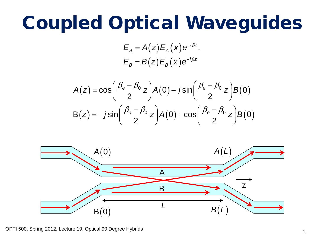#### **Coupled Optical Waveguides**

 $E_A = A(z) E_A(x) e^{-i\beta z}$  $E_B = B(z)E_B(x)e^{-i\beta z}$ 

$$
A(z) = \cos\left(\frac{\beta_e - \beta_0}{2}z\right)A(0) - j\sin\left(\frac{\beta_e - \beta_0}{2}z\right)B(0)
$$

$$
B(z) = -j\sin\left(\frac{\beta_e - \beta_0}{2}z\right)A(0) + \cos\left(\frac{\beta_e - \beta_0}{2}z\right)B(0)
$$



OPTI 500, Spring 2012, Lecture 19, Optical 90 Degree Hybrids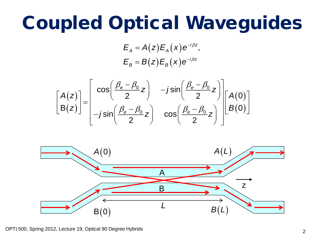### **Coupled Optical Waveguides**

 $E_A = A(z) E_A(x) e^{-i\beta z}$  $E_{B} = B(z)E_{B}(x)e^{-i\beta z}$ 





OPTI 500, Spring 2012, Lecture 19, Optical 90 Degree Hybrids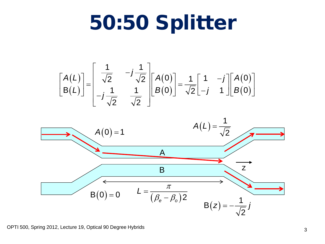## 50:50 Splitter





OPTI 500, Spring 2012, Lecture 19, Optical 90 Degree Hybrids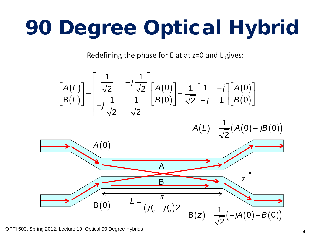# 90 Degree Optical Hybrid

Redefining the phase for E at at z=0 and L gives:



OPTI 500, Spring 2012, Lecture 19, Optical 90 Degree Hybrids